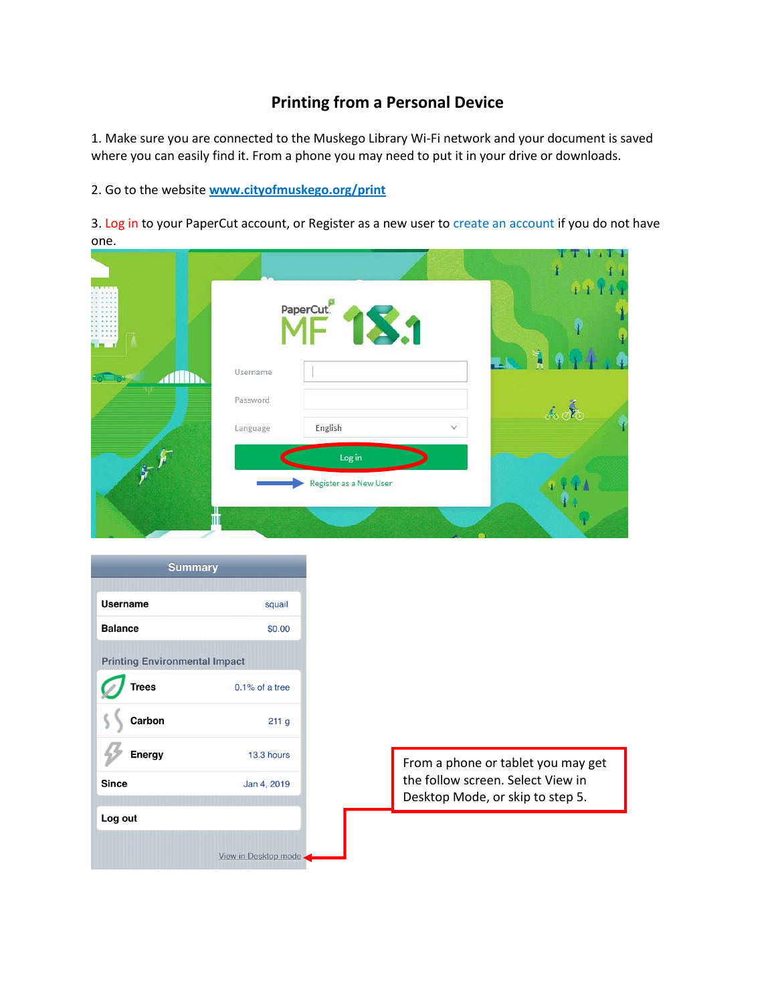## **Printing from a Personal Device**

1. Make sure you are connected to the Muskego Library Wi-Fi network and your document is saved where you can easily find it. From a phone you may need to put it in your drive or downloads.

2. Go to the website **[www.cityofmuskego.org/print](http://www.cityofmuskego.org/print)**

3. Log in to your PaperCut account, or Register as a new user to create an account if you do not have one.

|          | PaperCut. <sup>P</sup> |              | ۴            |  |
|----------|------------------------|--------------|--------------|--|
| Username |                        |              |              |  |
| Password |                        |              | <u>க் லீ</u> |  |
| Language | English                | $\checkmark$ |              |  |
|          | Log in                 |              |              |  |
|          | Register as a New User |              |              |  |
|          |                        |              |              |  |

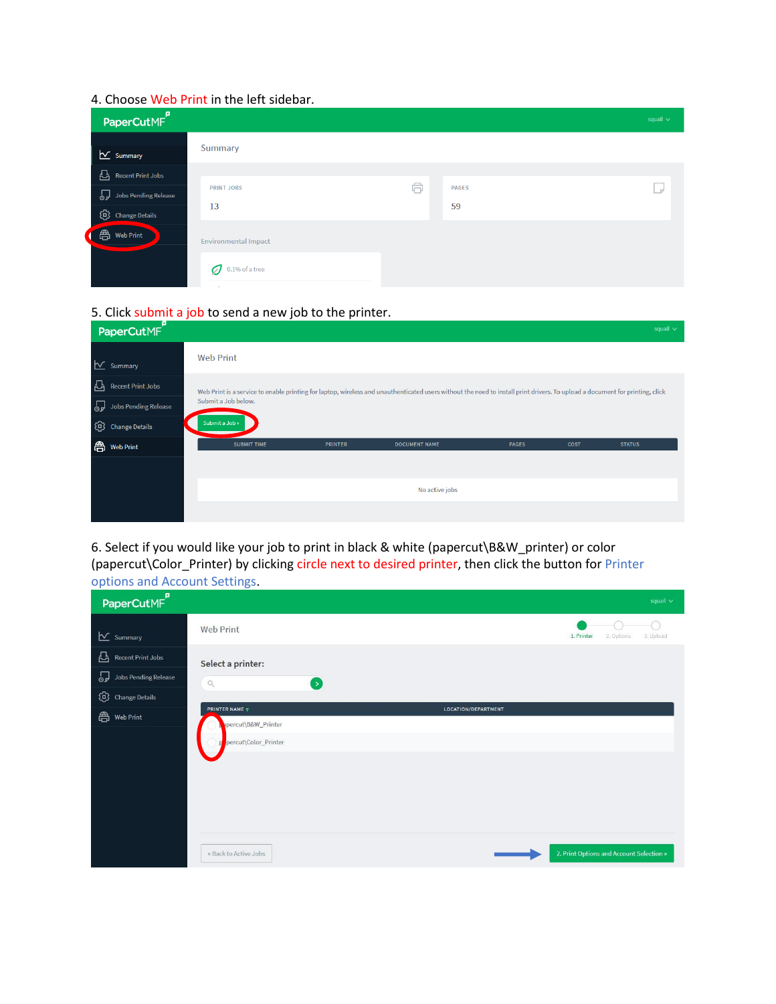## 4. Choose Web Print in the left sidebar.

| PaperCutMF                                                    |                                                          |   |                    | squail $\vee$ |
|---------------------------------------------------------------|----------------------------------------------------------|---|--------------------|---------------|
| $\sim$ Summary                                                | Summary                                                  |   |                    |               |
| Recent Print Jobs<br>Jobs Pending Release<br>C Change Details | <b>PRINT JOBS</b><br>13                                  | 6 | <b>PAGES</b><br>59 | اہ ا          |
| <b>合</b> Web Print                                            | Environmental Impact<br>Ø<br>$0.1\%$ of a tree<br>$\sim$ |   |                    |               |

## 5. Click submit a job to send a new job to the printer.

| Р<br>PaperCutMF                                                          |                     |                |                                                                                                                                                                              |              |      | squail $\vee$ |
|--------------------------------------------------------------------------|---------------------|----------------|------------------------------------------------------------------------------------------------------------------------------------------------------------------------------|--------------|------|---------------|
| $\sim$ Summary                                                           | <b>Web Print</b>    |                |                                                                                                                                                                              |              |      |               |
| 凸<br><b>Recent Print Jobs</b><br><b>P</b><br><b>Jobs Pending Release</b> | Submit a Job below. |                | Web Print is a service to enable printing for laptop, wireless and unauthenticated users without the need to install print drivers. To upload a document for printing, click |              |      |               |
| ⊕<br><b>Change Details</b>                                               | Submit a Job »      |                |                                                                                                                                                                              |              |      |               |
| 魯<br><b>Web Print</b>                                                    | <b>SUBMIT TIME</b>  | <b>PRINTER</b> | <b>DOCUMENT NAME</b>                                                                                                                                                         | <b>PAGES</b> | COST | <b>STATUS</b> |
|                                                                          |                     |                |                                                                                                                                                                              |              |      |               |
|                                                                          |                     |                | No active jobs                                                                                                                                                               |              |      |               |
|                                                                          |                     |                |                                                                                                                                                                              |              |      |               |

6. Select if you would like your job to print in black & white (papercut\B&W\_printer) or color (papercut\Color\_Printer) by clicking circle next to desired printer, then click the button for Printer options and Account Settings.

| PaperCutMF                                          | $\tilde{\phantom{a}}$                                                     |                     | squail $\vee$                            |
|-----------------------------------------------------|---------------------------------------------------------------------------|---------------------|------------------------------------------|
| $\sqrt{\ }$ Summary                                 | <b>Web Print</b>                                                          |                     | 3. Upload<br>1. Printer<br>2. Options    |
| 凸<br>Recent Print Jobs<br>P<br>Jobs Pending Release | Select a printer:<br>$\hbox{\ensuremath{\mathsf{Q}}}$<br>$\left( \right)$ |                     |                                          |
| ⊕<br><b>Change Details</b><br>魯<br>Web Print        | <b>PRINTER NAME W</b>                                                     | LOCATION/DEPARTMENT |                                          |
|                                                     | percut\B&W_Printer<br>percut\Color_Printer                                |                     |                                          |
|                                                     | « Back to Active Jobs                                                     |                     | 2. Print Options and Account Selection » |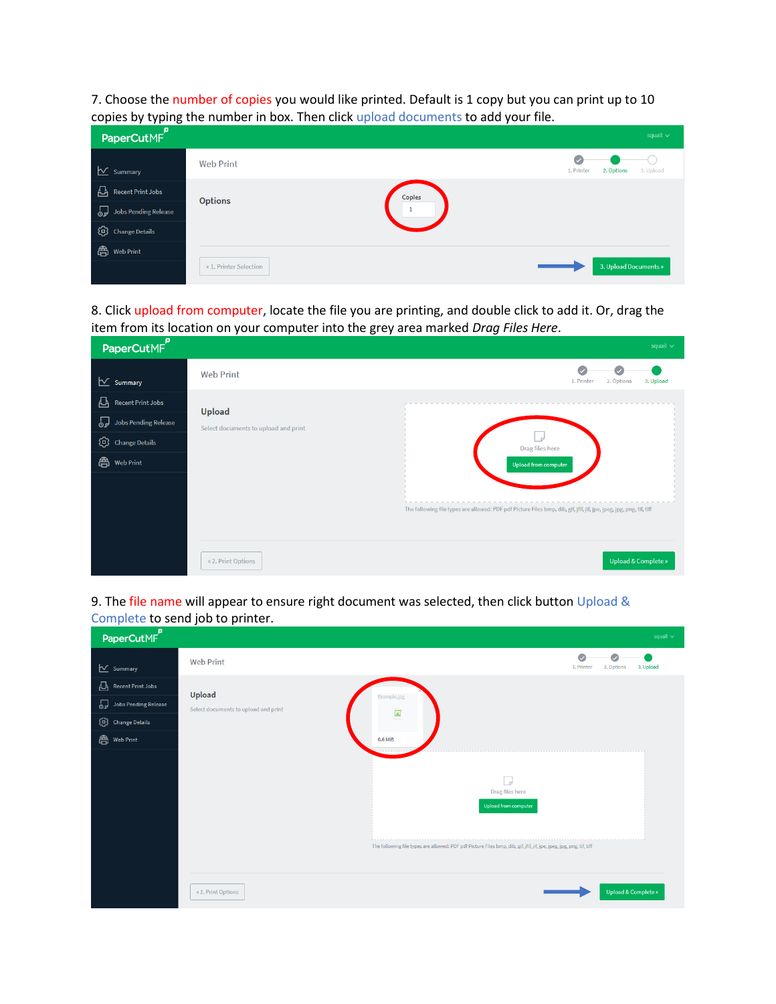7. Choose the number of copies you would like printed. Default is 1 copy but you can print up to 10 copies by typing the number in box. Then click upload documents to add your file.

| ייסייון יוידי ביידי<br>PaperCutMF <sup>P</sup> |                        |               |            |                       | squail $\vee$ |
|------------------------------------------------|------------------------|---------------|------------|-----------------------|---------------|
| $\sqrt{\ }$ Summary                            | <b>Web Print</b>       |               | 1. Printer | 2. Options            | 3. Upload     |
| 凸<br><b>Recent Print Jobs</b>                  | <b>Options</b>         | <b>Copies</b> |            |                       |               |
| Jobs Pending Release                           |                        |               |            |                       |               |
| Co Change Details                              |                        |               |            |                       |               |
| <b>合</b> Web Print                             |                        |               |            |                       |               |
|                                                | « 1. Printer Selection |               |            | 3. Upload Documents » |               |

8. Click upload from computer, locate the file you are printing, and double click to add it. Or, drag the item from its location on your computer into the grey area marked *Drag Files Here*.

| PaperCutMF                                                                               |                                                | squail $\vee$                                                                                                                                          |
|------------------------------------------------------------------------------------------|------------------------------------------------|--------------------------------------------------------------------------------------------------------------------------------------------------------|
| $\sim$ Summary                                                                           | <b>Web Print</b>                               | U<br>1. Printer<br>2. Options<br>3. Upload                                                                                                             |
| 凸<br>Recent Print Jobs<br>Jobs Pending Release<br>C Change Details<br><b>合</b> Web Print | Upload<br>Select documents to upload and print | Drag files here<br>Upload from computer                                                                                                                |
|                                                                                          | « 2. Print Options                             | The following file types are allowed: PDF pdf Picture Files bmp, dib, gif, jfif, jif, jpe, jpeg, jpg, png, tif, tiff<br><b>Upload &amp; Complete »</b> |

9. The file name will appear to ensure right document was selected, then click button Upload & Complete to send job to printer.

| PaperCutMF                                                         | squail $\vee$                                                                                                                                                        |  |
|--------------------------------------------------------------------|----------------------------------------------------------------------------------------------------------------------------------------------------------------------|--|
| $\sum$ Summary                                                     | O<br>o<br><b>Web Print</b><br>1. Printer<br>2. Options<br>3. Upload                                                                                                  |  |
| $\sum$ Recent Print Jobs<br>Jobs Pending Release<br>Change Details | Upload<br>Example.jpg<br>Select documents to upload and print<br>$\blacksquare$                                                                                      |  |
| <b>合</b> Web Print                                                 | 0.6 MiB                                                                                                                                                              |  |
|                                                                    | J<br>Drag files here<br>Upload from computer<br>The following file types are allowed: PDF pdf Picture Files bmp, dib, gif, jfif, jif, jpe, jpeg, jpg, png, tif, tiff |  |
|                                                                    | <b>Upload &amp; Complete »</b><br>« 2. Print Options                                                                                                                 |  |